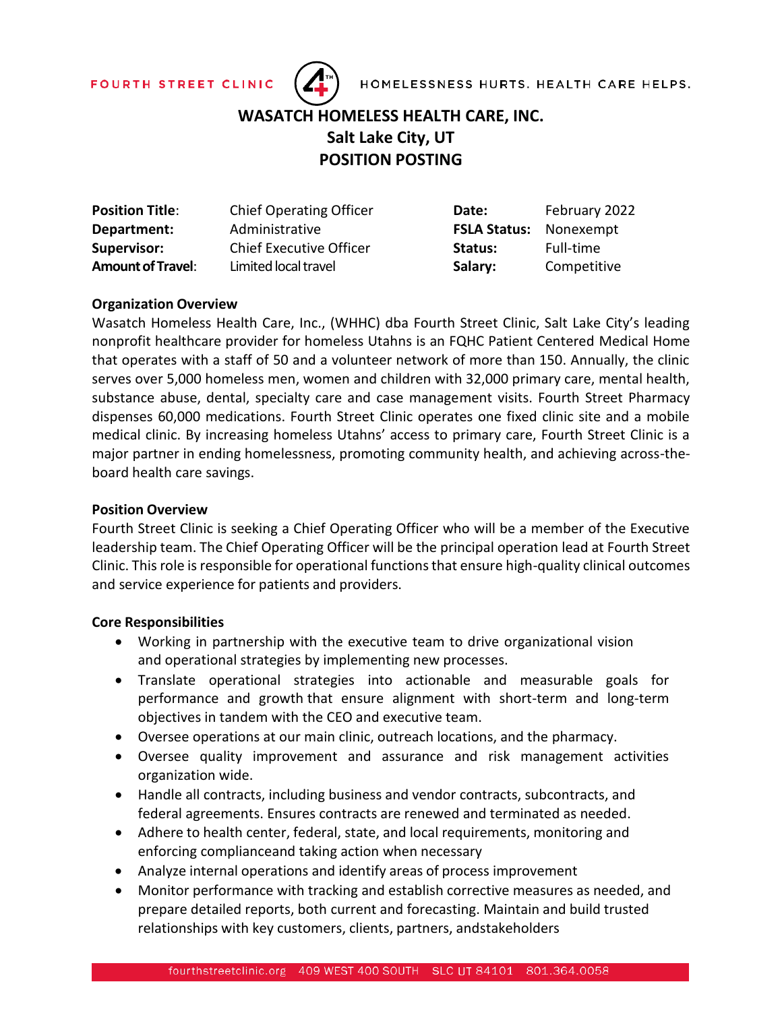



# **WASATCH HOMELESS HEALTH CARE, INC. Salt Lake City, UT POSITION POSTING**

| <b>Position Title:</b>   | <b>Chief Operating Officer</b> | Date:                         | February 2022 |
|--------------------------|--------------------------------|-------------------------------|---------------|
| Department:              | Administrative                 | <b>FSLA Status:</b> Nonexempt |               |
| <b>Supervisor:</b>       | <b>Chief Executive Officer</b> | Status:                       | Full-time     |
| <b>Amount of Travel:</b> | Limited local travel           | Salary:                       | Competitive   |

## **Organization Overview**

Wasatch Homeless Health Care, Inc., (WHHC) dba Fourth Street Clinic, Salt Lake City's leading nonprofit healthcare provider for homeless Utahns is an FQHC Patient Centered Medical Home that operates with a staff of 50 and a volunteer network of more than 150. Annually, the clinic serves over 5,000 homeless men, women and children with 32,000 primary care, mental health, substance abuse, dental, specialty care and case management visits. Fourth Street Pharmacy dispenses 60,000 medications. Fourth Street Clinic operates one fixed clinic site and a mobile medical clinic. By increasing homeless Utahns' access to primary care, Fourth Street Clinic is a major partner in ending homelessness, promoting community health, and achieving across-theboard health care savings.

#### **Position Overview**

Fourth Street Clinic is seeking a Chief Operating Officer who will be a member of the Executive leadership team. The Chief Operating Officer will be the principal operation lead at Fourth Street Clinic. Thisrole isresponsible for operational functions that ensure high-quality clinical outcomes and service experience for patients and providers.

#### **Core Responsibilities**

- Working in partnership with the executive team to drive organizational vision and operational strategies by implementing new processes.
- Translate operational strategies into actionable and measurable goals for performance and growth that ensure alignment with short-term and long-term objectives in tandem with the CEO and executive team.
- Oversee operations at our main clinic, outreach locations, and the pharmacy.
- Oversee quality improvement and assurance and risk management activities organization wide.
- Handle all contracts, including business and vendor contracts, subcontracts, and federal agreements. Ensures contracts are renewed and terminated as needed.
- Adhere to health center, federal, state, and local requirements, monitoring and enforcing complianceand taking action when necessary
- Analyze internal operations and identify areas of process improvement
- Monitor performance with tracking and establish corrective measures as needed, and prepare detailed reports, both current and forecasting. Maintain and build trusted relationships with key customers, clients, partners, andstakeholders